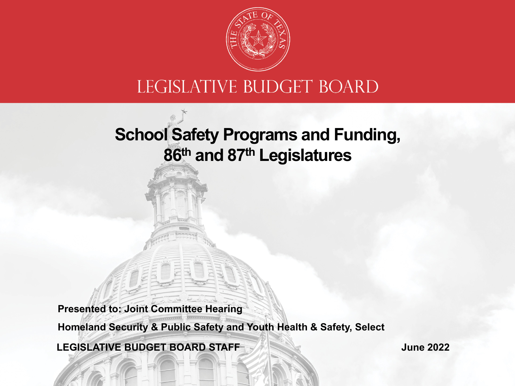

#### LEGISLATIVE BUDGET BOARD

### **School Safety Programs and Funding, 86th and 87th Legislatures**

**Presented to: Joint Committee Hearing**

**Homeland Security & Public Safety and Youth Health & Safety, Select**

**LEGISLATIVE BUDGET BOARD STAFF**

**June 2022**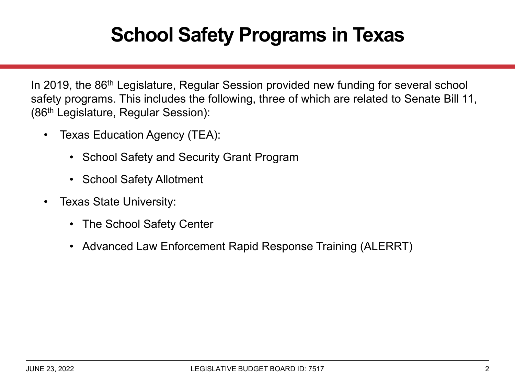### **School Safety Programs in Texas**

In 2019, the 86<sup>th</sup> Legislature, Regular Session provided new funding for several school safety programs. This includes the following, three of which are related to Senate Bill 11, (86th Legislature, Regular Session):

- • Texas Education Agency (TEA):
	- School Safety and Security Grant Program
	- School Safety Allotment
- • Texas State University:
	- The School Safety Center
	- •Advanced Law Enforcement Rapid Response Training (ALERRT)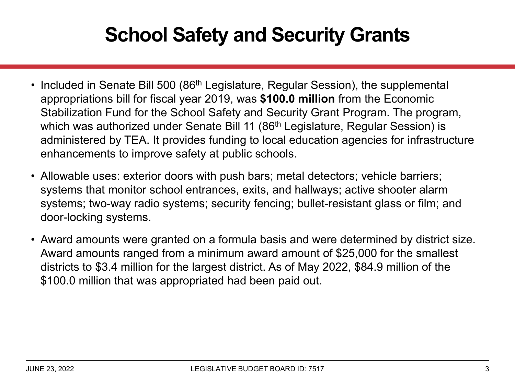### **School Safety and Security Grants**

- Included in Senate Bill 500 (86<sup>th</sup> Legislature, Regular Session), the supplemental appropriations bill for fiscal year 2019, was **\$100.0 million** from the Economic Stabilization Fund for the School Safety and Security Grant Program. The program, which was authorized under Senate Bill 11 (86<sup>th</sup> Legislature, Regular Session) is administered by TEA. It provides funding to local education agencies for infrastructure enhancements to improve safety at public schools.
- Allowable uses: exterior doors with push bars; metal detectors; vehicle barriers; systems that monitor school entrances, exits, and hallways; active shooter alarm systems; two-way radio systems; security fencing; bullet-resistant glass or film; and door-locking systems.
- Award amounts were granted on a formula basis and were determined by district size. Award amounts ranged from a minimum award amount of \$25,000 for the smallest districts to \$3.4 million for the largest district. As of May 2022, \$84.9 million of the \$100.0 million that was appropriated had been paid out.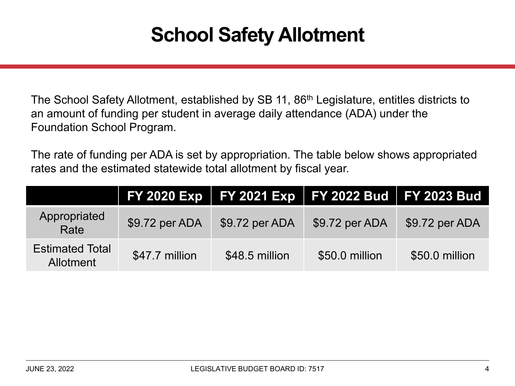### **School Safety Allotment**

The School Safety Allotment, established by SB 11, 86<sup>th</sup> Legislature, entitles districts to an amount of funding per student in average daily attendance (ADA) under the Foundation School Program.

The rate of funding per ADA is set by appropriation. The table below shows appropriated rates and the estimated statewide total allotment by fiscal year.

|                                            |                | FY 2020 Exp   FY 2021 Exp   FY 2022 Bud   FY 2023 Bud |                |                |
|--------------------------------------------|----------------|-------------------------------------------------------|----------------|----------------|
| Appropriated<br>Rate                       | \$9.72 per ADA | \$9.72 per ADA                                        | \$9.72 per ADA | \$9.72 per ADA |
| <b>Estimated Total</b><br><b>Allotment</b> | \$47.7 million | \$48.5 million                                        | \$50.0 million | \$50.0 million |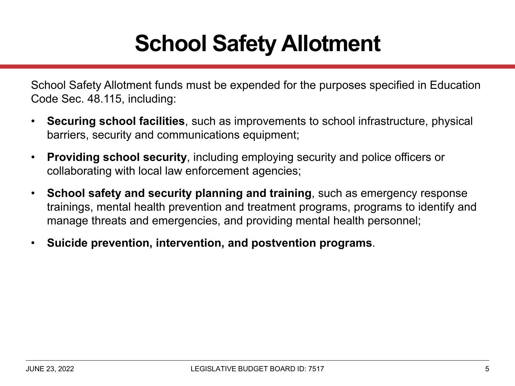# **School Safety Allotment**

School Safety Allotment funds must be expended for the purposes specified in Education Code Sec. 48.115, including:

- $\bullet$  **Securing school facilities**, such as improvements to school infrastructure, physical barriers, security and communications equipment;
- • **Providing school security**, including employing security and police officers or collaborating with local law enforcement agencies;
- $\bullet$  **School safety and security planning and training**, such as emergency response trainings, mental health prevention and treatment programs, programs to identify and manage threats and emergencies, and providing mental health personnel;
- •**Suicide prevention, intervention, and postvention programs**.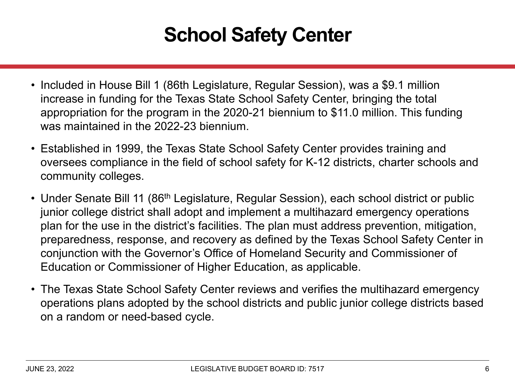## **School Safety Center**

- Included in House Bill 1 (86th Legislature, Regular Session), was a \$9.1 million increase in funding for the Texas State School Safety Center, bringing the total appropriation for the program in the 2020-21 biennium to \$11.0 million. This funding was maintained in the 2022-23 biennium.
- Established in 1999, the Texas State School Safety Center provides training and oversees compliance in the field of school safety for K-12 districts, charter schools and community colleges.
- Under Senate Bill 11 (86<sup>th</sup> Legislature, Regular Session), each school district or public junior college district shall adopt and implement a multihazard emergency operations plan for the use in the district's facilities. The plan must address prevention, mitigation, preparedness, response, and recovery as defined by the Texas School Safety Center in conjunction with the Governor's Office of Homeland Security and Commissioner of Education or Commissioner of Higher Education, as applicable.
- The Texas State School Safety Center reviews and verifies the multihazard emergency operations plans adopted by the school districts and public junior college districts based on a random or need-based cycle.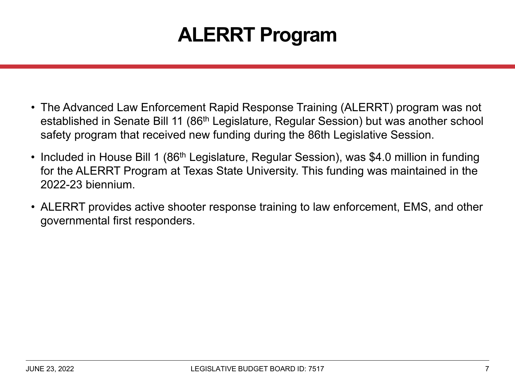## **ALERRT Program**

- The Advanced Law Enforcement Rapid Response Training (ALERRT) program was not established in Senate Bill 11 (86th Legislature, Regular Session) but was another school safety program that received new funding during the 86th Legislative Session.
- $\bullet\,$  Included in House Bill 1 (86 $^{\rm th}$  Legislature, Regular Session), was \$4.0 million in funding . for the ALERRT Program at Texas State University. This funding was maintained in the 2022-23 biennium.
- ALERRT provides active shooter response training to law enforcement, EMS, and other governmental first responders.